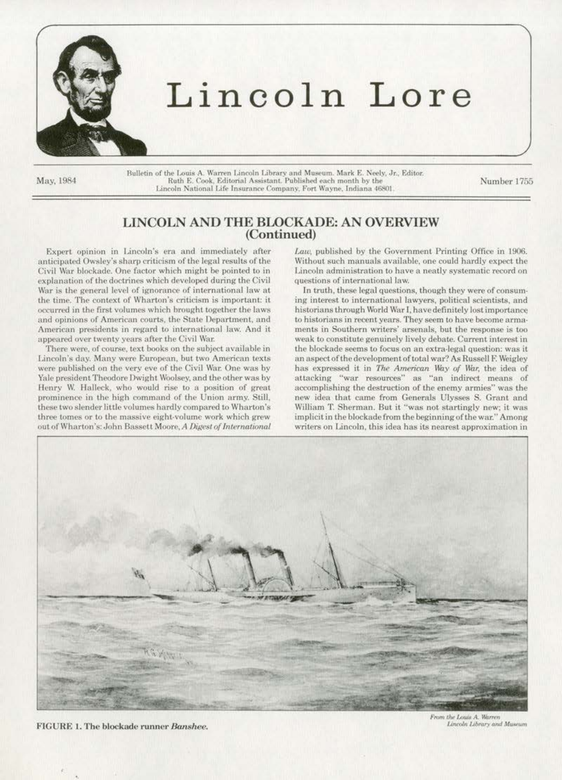

## Lincoln Lore

May, 1984

Bulletin of the Louis A. Warren Lincoln Library and Museum. Mark E. Neely, Jr., Editor.<br>Ruth E. Cook, Editorial Assistant. Published each month by the Lincoln National Life Insurance Company, Fort Wayne, Indiana 46801

Number 1755

## LINCOLN AND THE BLOCKADE: AN OVERVIEW (Continued)

Expert opinion in Lincoln's era and immediately after anticipated Owsley's sharp criticism of the legal results of the Civil War blockade. One factor which might be pointed to in explanation of the doctrines which developed during the Civil War is the general level of ignorance of international law at the time. The context of Wharton's criticism is important: it occurred in the first volumes which brought together the laws and opinions of American courts, the State Department, and American presidents in regard to international law. And it appeared over twenty years after the Civil War.

There were, of course, text books on the subject available in Lincoln's day. Many were European, but two American texts were published on the very eve of the Civil War. One was by Yale president Theodore Dwight Woolsey, and the other was by Henry W. Halleck, who would rise to a position of great prominence in the high command of the Union army. Still, these two slender little volumes hardly compared to Wharton's three tomes or to the massive eight-volume work which grew out of Wharton's: John Bassett Moore, A Digest of International

Law, published by the Government Printing Office in 1906. Without such manuals available, one could hardly expect the Lincoln administration to have a neatly systematic record on questions of international law.

In truth, these legal questions, though they were of consuming interest to international lawyers, political scientists, and historians through World War I, have definitely lost importance to historians in recent years. They seem to have become armaments in Southern writers' arsenals, but the response is too weak to constitute genuinely lively debate. Current interest in the blockade seems to focus on an extra-legal question: was it an aspect of the development of total war? As Russell F. Weigley has expressed it in The American Way of War, the idea of attacking "war resources" as "an indirect means of accomplishing the destruction of the enemy armies" was the new idea that came from Generals Ulysses S. Grant and William T. Sherman. But it "was not startingly new; it was implicit in the blockade from the beginning of the war." Among writers on Lincoln, this idea has its nearest approximation in



FIGURE 1. The blockade runner Banshee.

From the Louis A. Warren Lincoln Library and Museum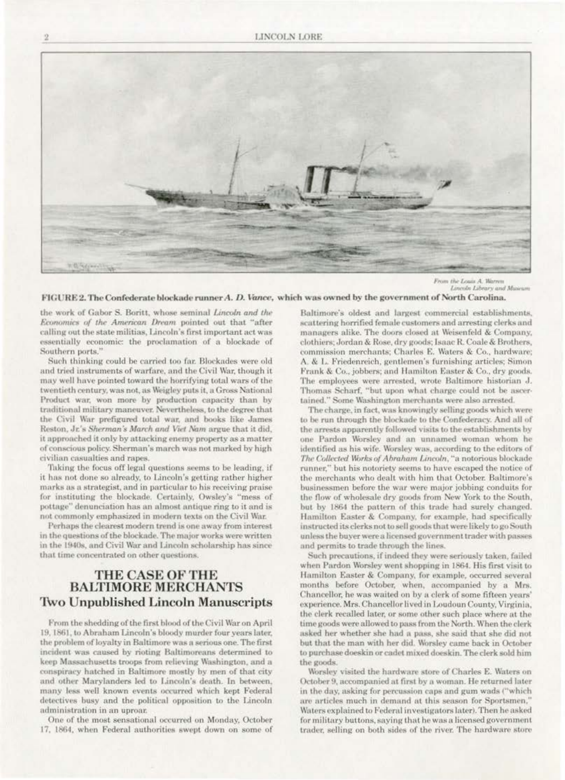

the Louis A. Warren Lincoln Library and Musica

FIGURE 2. The Confederate blockade runner A. D. Vance, which was owned by the government of North Carolina.

the work of Gabor S. Boritt, whose seminal Lincoln and the Economics of the American Dream pointed out that "after calling out the state militias, Lincoln's first important act was essentially economic: the proclamation of a blockade of Southern ports."

Such thinking could be carried too far. Blockades were old and tried instruments of warfare, and the Civil War, though it may well have pointed toward the horrifying total wars of the twentieth century, was not, as Weigley puts it, a Gross National Product war, won more by production capacity than by traditional military maneuver. Nevertheless, to the degree that the Civil War prefigured total war, and books like James Reston, Jr.'s Sherman's March and Viet Nam argue that it did, it approached it only by attacking enemy property as a matter of conscious policy. Sherman's march was not marked by high civilian casualties and rapes.

Taking the focus off legal questions seems to be leading, if it has not done so already, to Lincoln's getting rather higher marks as a strategist, and in particular to his receiving praise for instituting the blockade. Certainly, Owsley's "mess of pottage" denunciation has an almost antique ring to it and is not commonly emphasized in modern texts on the Civil War.

Perhaps the clearest modern trend is one away from interest in the questions of the blockade. The major works were written in the 1940s, and Civil War and Lincoln scholarship has since that time concentrated on other questions.

## **THE CASE OF THE BALTIMORE MERCHANTS Two Unpublished Lincoln Manuscripts**

From the shedding of the first blood of the Civil War on April 19, 1861, to Abraham Lincoln's bloody murder four years later, the problem of loyalty in Baltimore was a serious one. The first incident was caused by rioting Baltimoreans determined to keep Massachusetts troops from relieving Washington, and a conspiracy hatched in Baltimore mostly by men of that city and other Marylanders led to Lincoln's death. In between, many less well known events occurred which kept Federal detectives busy and the political opposition to the Lincoln administration in an uproar.

One of the most sensational occurred on Monday, October 17, 1864, when Federal authorities swept down on some of

Baltimore's oldest and largest commercial establishments, scattering horrified female customers and arresting clerks and managers alike. The doors closed at Weisenfeld & Company, clothiers; Jordan & Rose, dry goods; Isaac R. Coale & Brothers, commission merchants; Charles E. Waters & Co., hardware; A. & L. Friedenreich, gentlemen's furnishing articles; Simon Frank & Co., jobbers; and Hamilton Easter & Co., dry goods. The employees were arrested, wrote Baltimore historian J. Thomas Scharf, "but upon what charge could not be ascertained." Some Washington merchants were also arrested.

The charge, in fact, was knowingly selling goods which were to be run through the blockade to the Confederacy. And all of the arrests apparently followed visits to the establishments by one Pardon Worsley and an unnamed woman whom he identified as his wife. Worsley was, according to the editors of The Collected Works of Abraham Lincoln, "a notorious blockade runner," but his notoriety seems to have escaped the notice of the merchants who dealt with him that October. Baltimore's businessmen before the war were major jobbing conduits for the flow of wholesale dry goods from New York to the South, but by 1864 the pattern of this trade had surely changed. Hamilton Easter & Company, for example, had specifically instructed its clerks not to sell goods that were likely to go South unless the buyer were a licensed government trader with passes and permits to trade through the lines.

Such precautions, if indeed they were seriously taken, failed when Pardon Worsley went shopping in 1864. His first visit to Hamilton Easter & Company, for example, occurred several months before October, when, accompanied by a Mrs. Chancellor, he was waited on by a clerk of some fifteen years' experience. Mrs. Chancellor lived in Loudoun County, Virginia, the clerk recalled later, or some other such place where at the time goods were allowed to pass from the North. When the clerk asked her whether she had a pass, she said that she did not but that the man with her did. Worsley came back in October to purchase doeskin or cadet mixed doeskin. The clerk sold him the goods.

Worsley visited the hardware store of Charles E. Waters on October 9, accompanied at first by a woman. He returned later in the day, asking for percussion caps and gum wads ("which are articles much in demand at this season for Sportsmen,' Waters explained to Federal investigators later). Then he asked for military buttons, saying that he was a licensed government trader, selling on both sides of the river. The hardware store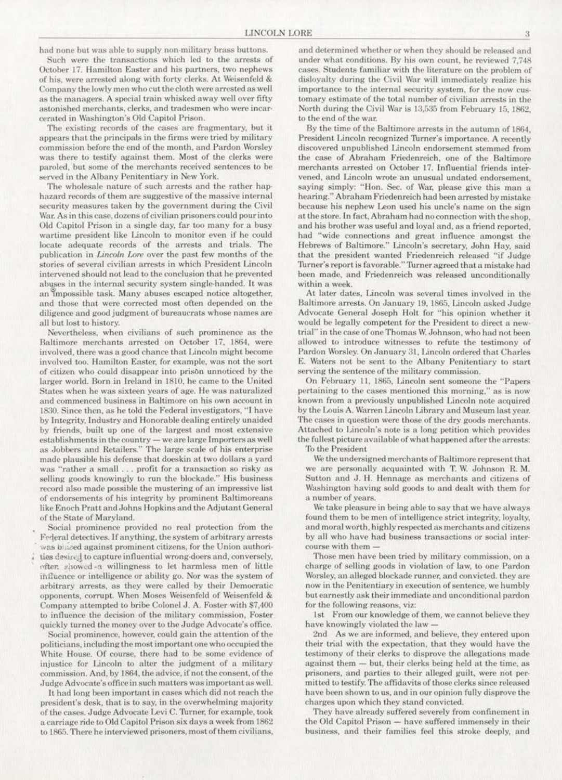had none but was able to supply non-military brass buttons.

Such were the transactions which led to the arrests of October 17. Hamilton Easter and his partners, two nephews. of his, were arrested along with forty clerks. At Weisenfeld & Company the lowly men who cut the cloth were arrested as well as the managers. A special train whisked away well over fifty astonished merchants, clerks, and tradesmen who were incar· cerated in Washington's Old Capitol Prison.

The existing records of the cases are fragmentary, but it. appears that the principals in the firms were tried by military commission before the end of the month, and Pardon \\brslcy was there to testify against them. Most of the clerks were paroled, but some of the merchants received sentences to be served in the Albany Penitentiary in New York.

The wholesale nature of such arrests and the rather haphazard records of them are suggestive of the massive internal security measures taken by the government during the Civil War. As in this case, dozens of civilian prisoners could pour into Old Capitol Prison in a single day, far too many for a busy wartime president like Lincoln to monitor even if he could locate adequate records of the arrests and trials. The publication in *Lincoln Lore* over the past few months of the stories of several civilian arrests in which President Lincoln intervened should not lead to the conclusion that he prevented abuses in the internal security system single-handed. It was an impossible task. Many abuses escaped notice altogether, and those that were corrected most often depended on the diligence and good judgment of bureaucrats whose names are all but lost to history.

Nevertheless, when civilians of such prominence as the Baltimore merchants arrested on October 17, 1864, were involved, there was a good chance that Lincoln might become involved too. Hamilton Easter, for example, was not the sort of citizen who could disappear into prison unnoticed by the larger world. Born in Ireland in 1810, he came to the United States when he was sixteen years of age. He was naturalized and commenced business in Baltimore on his own account in 1830. Since then, as he told the Federal investigators, "I have by Integrity, Industry and Honorable dealing entirely unaided by friends, built up one of the largest and most extensive establishments in the country - we are large Importers as well as Jobbers and Retailers." The large scale of his enterprise made plausible his defense that doeskin at two dollars a yard was "rather a small . . . profit for a transaction so risky as selling goods knowingly to run the blockade." His business record also made possible the mustering of an impressive list. of endorsements of his integrity by prominent Baltimoreans like Enoch Pratt and Johns Hopkins and the Adjutant General of the State of Maryland.

Social prominence provided no real protection from the Federal detectives. If anything, the system of arbitrary arrests was blaced against prominent citizens, for the Union authorities desired to capture influential wrong-doers and, conversely, ofter. showed -a willingness to let harmless men of little influence or intelligence or ability go. Nor was the system of arbitrary arrests, as they were called by their Democratic opponents, corrupt. When Moses Weisenfeld of Weisenfeld & Company attempted to bribe Colonel J. A. Foster with \$7,400 to influence the decision of the military commission. Foster quickly turned the money over to the Judge Advocate's office.

Social prominence. however. could gain the attention of the politicians, including the most important one who occupied the White House. Of course, there had to be some evidence of injustice for Lincoln to alter the judgment of a military commission. And, by 1864, the advice, if not the consent, of the Judge Advocate's office in such matters was important as well.

It had long been important in cases which did not reach the president's desk, that is to say, in the overwhelming majority of the cases. Judge Advocate Levi C. Turner, for example, took a carriage ride to Old Capitol Prison six days a week from 1862 to 1865. There he interviewed prisoners, most of them civilians,

and determined whether or when they should be released and under what conditions. By his own count, he reviewed 7,748 cases. Students familiar with the literature on the problem of disloyalty during the Civil War will immediately realize his importance to the internal security system, for the now customary estimate of the total number of civilian arrests in the North during the Civil War is 13,535 from February 15, 1862, to the end of the war.

By the time of the Baltimore arrests in the autumn of 1864, President Lincoln recognized Turner's importance. A recently discovered unpublished Lincoln endorsement stemmed from the case of Abraham Friedenreich, one of the Baltimore merchants arrested on October 17. Influential friends intervened. and Lincoln wrote an unusual undated endorsement, saying simply: "Hon. Sec. of War, please give this man a hearing." Abraham Friedenreich had been arrested by mistake because his nephew Leon used his uncle's name on the sign at the store. In fact, Abraham had no connection with the shop, and his brother was useful and loyal and, as a friend reported. had "wide connections and great influence amongst the Hebrews of Baltimore." Lincoln's secretary, John Hay, said that the president wanted Friedenreich released "if Judge Turner's report is favorable." Turner agreed that a mistake had been made, and Friedenreich was released unconditionally within a week.

At later dates, Lincoln was several times involved in the Baltimore arrests. On January 19, 1865, Lincoln asked Judge Advocate General Joseph Holt for "his opinion whether it would be legally competent for the President to direct a newtrial" in the case of one Thomas W, Johnson, who had not been allowed to introduce witnesses to refute the testimony of Pardon Worsley. On January 31, Lincoln ordered that Charles E. Waters not be sent to the Albany Penitentiary to start serving the sentence of the military commission.

On February 11, 1865, Lincoln sent someone the "Papers pertaining to the cases mentioned this morning," as is now. known from a previously unpublished Lincoln note acquired by the Louis A. Warren Lincoln Library and Museum last year. The cases in question were those of the dry goods merchants. Attached to Lincoln's note is a long petition which provides the fullest picture available of what happened after the arrests: To the President

We the undersigned merchants of Baltimore represent that. we are personally acquainted with T.W. Johnson R.M. Sutton and J. H. Hennage as merchants and citizens of Washington having sold goods to and dealt with them for a number of years.

We take pleasure in being able to say that we have always found them to be men of intelligence strict integrity, loyalty, and moral worth, highly respected as merchants and citizens by all who have had business transactions or social intercourse with them -

Those men have been tried by military commission, on a charge of selling goods in violation of law, to one Pardon Worsley, an alleged blockade runner, and convicted. they are now in the Penitentiary in execution of sentence, we humbly but earnestly ask their immediate and unconditional pardon for the following reasons, viz:

1st From our knowledge of them, we cannot believe they have knowingly violated the law

2nd As we are informed, and believe, they entered upon their trial with the expectation, that they would have the testimony of their clerks to disprove the allegations made against them - but, their clerks being held at the time, as prisoners. and parties to their alleged guilt, were not permitted to testify. The affidavits of those clerks since released have been shown to us, and in our opinion fully disprove the charges upon which they stand convicted.

They have already suffered severely from confinemenl in the Old Capitol Prison - have suffered immensely in their business. and their families feel this stroke deeply, and

 $\mathcal{R}$